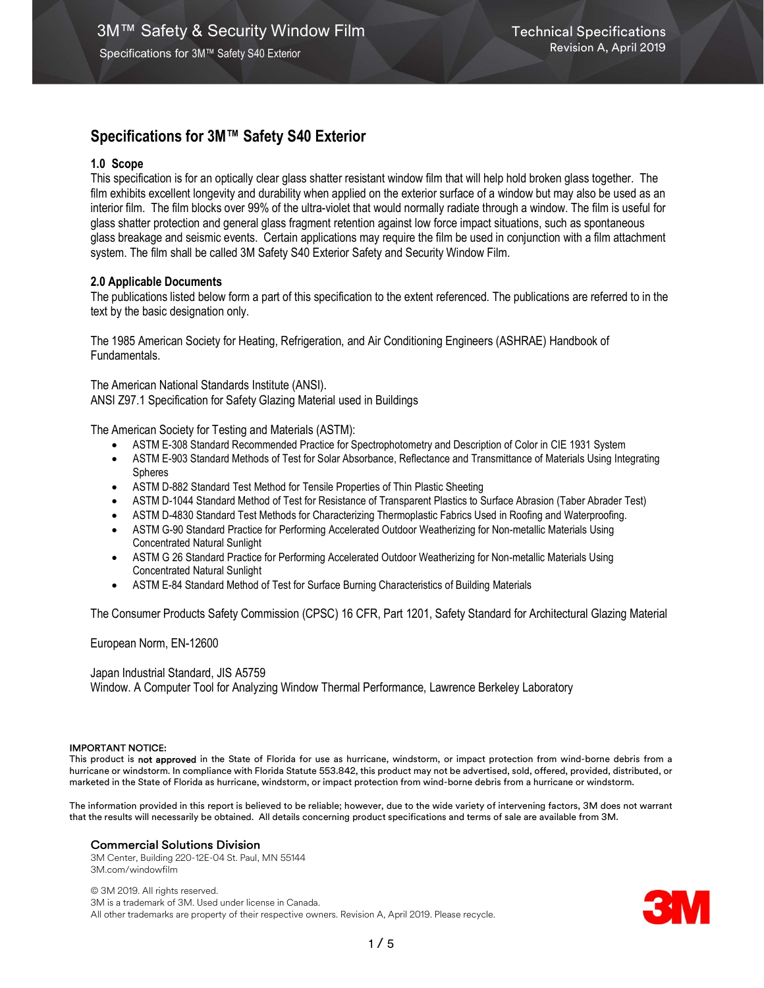## 1.0 Scope

This specification is for an optically clear glass shatter resistant window film that will help hold broken glass together. The film exhibits excellent longevity and durability when applied on the exterior surface of a window but may also be used as an interior film. The film blocks over 99% of the ultra-violet that would normally radiate through a window. The film is useful for glass shatter protection and general glass fragment retention against low force impact situations, such as spontaneous glass breakage and seismic events. Certain applications may require the film be used in conjunction with a film attachment system. The film shall be called 3M Safety S40 Exterior Safety and Security Window Film.

## 2.0 Applicable Documents

The publications listed below form a part of this specification to the extent referenced. The publications are referred to in the text by the basic designation only.

The 1985 American Society for Heating, Refrigeration, and Air Conditioning Engineers (ASHRAE) Handbook of Fundamentals.

The American National Standards Institute (ANSI). ANSI Z97.1 Specification for Safety Glazing Material used in Buildings

The American Society for Testing and Materials (ASTM):

- ASTM E-308 Standard Recommended Practice for Spectrophotometry and Description of Color in CIE 1931 System
- ASTM E-903 Standard Methods of Test for Solar Absorbance, Reflectance and Transmittance of Materials Using Integrating Spheres
- ASTM D-882 Standard Test Method for Tensile Properties of Thin Plastic Sheeting
- ASTM D-1044 Standard Method of Test for Resistance of Transparent Plastics to Surface Abrasion (Taber Abrader Test)
- ASTM D-4830 Standard Test Methods for Characterizing Thermoplastic Fabrics Used in Roofing and Waterproofing.
- ASTM G-90 Standard Practice for Performing Accelerated Outdoor Weatherizing for Non-metallic Materials Using Concentrated Natural Sunlight
- ASTM G 26 Standard Practice for Performing Accelerated Outdoor Weatherizing for Non-metallic Materials Using Concentrated Natural Sunlight
- ASTM E-84 Standard Method of Test for Surface Burning Characteristics of Building Materials

The Consumer Products Safety Commission (CPSC) 16 CFR, Part 1201, Safety Standard for Architectural Glazing Material

European Norm, EN-12600

Japan Industrial Standard, JIS A5759 Window. A Computer Tool for Analyzing Window Thermal Performance, Lawrence Berkeley Laboratory

#### IMPORTANT NOTICE:

This product is not approved in the State of Florida for use as hurricane, windstorm, or impact protection from wind-borne debris from a hurricane or windstorm. In compliance with Florida Statute 553.842, this product may not be advertised, sold, offered, provided, distributed, or marketed in the State of Florida as hurricane, windstorm, or impact protection from wind-borne debris from a hurricane or windstorm.

The information provided in this report is believed to be reliable; however, due to the wide variety of intervening factors, 3M does not warrant that the results will necessarily be obtained. All details concerning product specifications and terms of sale are available from 3M.

## Commercial Solutions Division

3M Center, Building 220-12E-04 St. Paul, MN 55144 3M.com/windowfilm

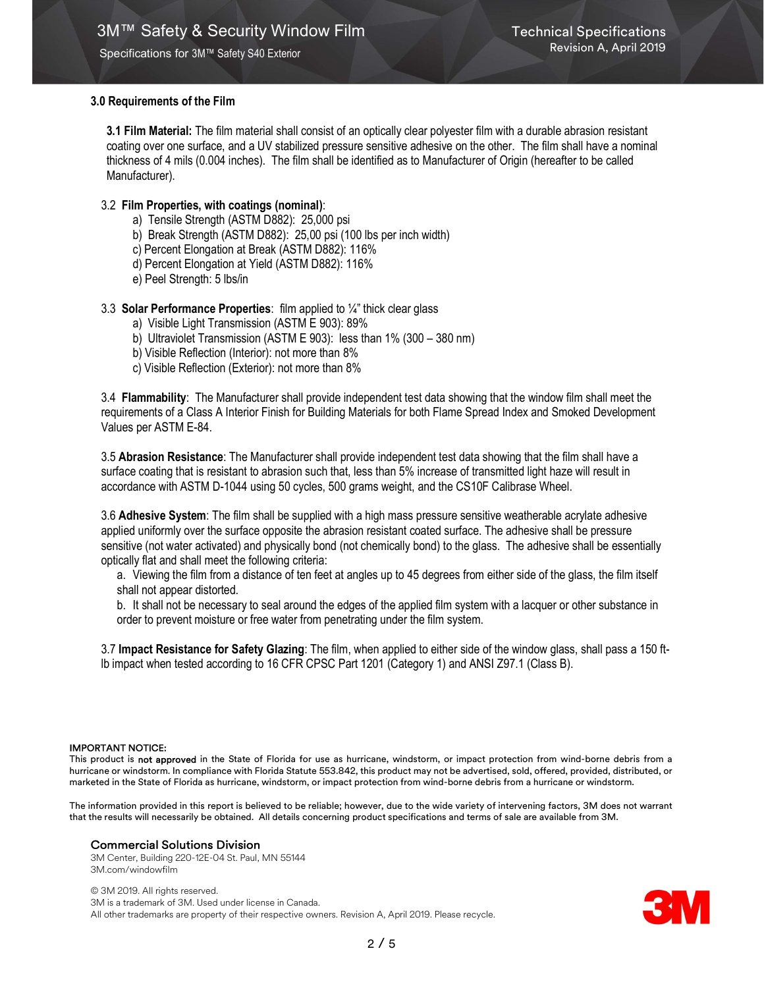## 3.0 Requirements of the Film

3.1 Film Material: The film material shall consist of an optically clear polyester film with a durable abrasion resistant coating over one surface, and a UV stabilized pressure sensitive adhesive on the other. The film shall have a nominal thickness of 4 mils (0.004 inches). The film shall be identified as to Manufacturer of Origin (hereafter to be called Manufacturer).

## 3.2 Film Properties, with coatings (nominal):

- a) Tensile Strength (ASTM D882): 25,000 psi
- b) Break Strength (ASTM D882): 25,00 psi (100 lbs per inch width)
- c) Percent Elongation at Break (ASTM D882): 116%
- d) Percent Elongation at Yield (ASTM D882): 116%
- e) Peel Strength: 5 lbs/in

### 3.3 Solar Performance Properties: film applied to  $\frac{1}{4}$ " thick clear glass

- a) Visible Light Transmission (ASTM E 903): 89%
- b) Ultraviolet Transmission (ASTM E 903): less than 1% (300 380 nm)
- b) Visible Reflection (Interior): not more than 8%
- c) Visible Reflection (Exterior): not more than 8%

3.4 Flammability: The Manufacturer shall provide independent test data showing that the window film shall meet the requirements of a Class A Interior Finish for Building Materials for both Flame Spread Index and Smoked Development Values per ASTM E-84.

3.5 Abrasion Resistance: The Manufacturer shall provide independent test data showing that the film shall have a surface coating that is resistant to abrasion such that, less than 5% increase of transmitted light haze will result in accordance with ASTM D-1044 using 50 cycles, 500 grams weight, and the CS10F Calibrase Wheel.

3.6 Adhesive System: The film shall be supplied with a high mass pressure sensitive weatherable acrylate adhesive applied uniformly over the surface opposite the abrasion resistant coated surface. The adhesive shall be pressure sensitive (not water activated) and physically bond (not chemically bond) to the glass. The adhesive shall be essentially optically flat and shall meet the following criteria:

a. Viewing the film from a distance of ten feet at angles up to 45 degrees from either side of the glass, the film itself shall not appear distorted.

b. It shall not be necessary to seal around the edges of the applied film system with a lacquer or other substance in order to prevent moisture or free water from penetrating under the film system.

3.7 Impact Resistance for Safety Glazing: The film, when applied to either side of the window glass, shall pass a 150 ftlb impact when tested according to 16 CFR CPSC Part 1201 (Category 1) and ANSI Z97.1 (Class B).

#### IMPORTANT NOTICE:

This product is not approved in the State of Florida for use as hurricane, windstorm, or impact protection from wind-borne debris from a hurricane or windstorm. In compliance with Florida Statute 553.842, this product may not be advertised, sold, offered, provided, distributed, or marketed in the State of Florida as hurricane, windstorm, or impact protection from wind-borne debris from a hurricane or windstorm.

The information provided in this report is believed to be reliable; however, due to the wide variety of intervening factors, 3M does not warrant that the results will necessarily be obtained. All details concerning product specifications and terms of sale are available from 3M.

#### Commercial Solutions Division

3M Center, Building 220-12E-04 St. Paul, MN 55144 3M.com/windowfilm

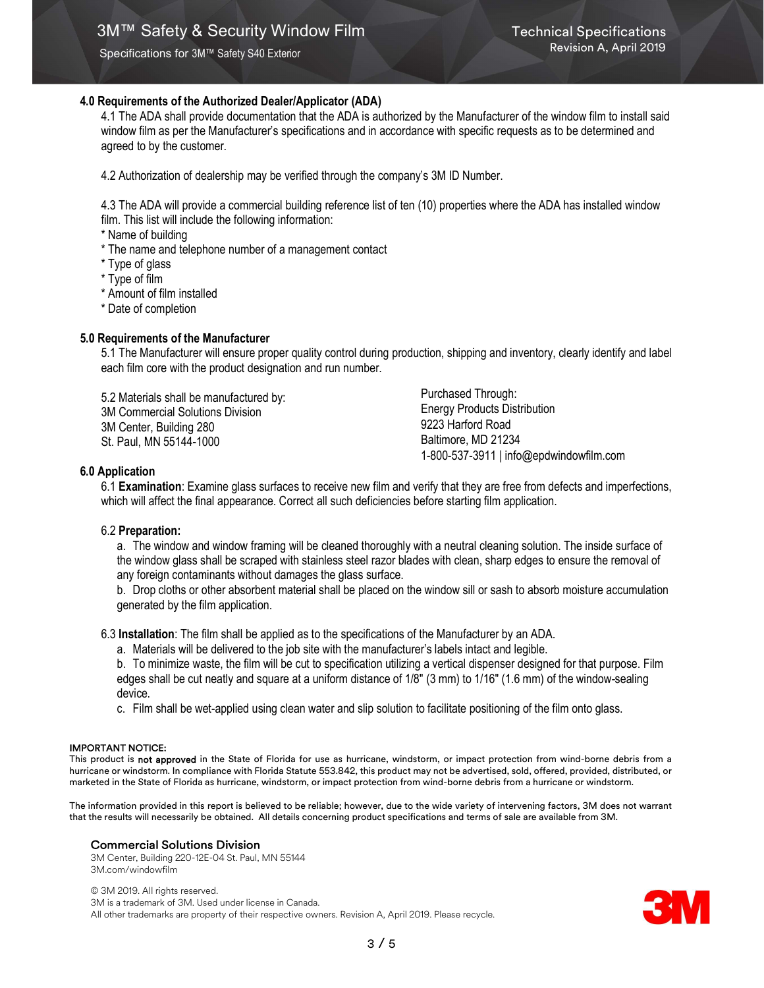## 4.0 Requirements of the Authorized Dealer/Applicator (ADA)

4.1 The ADA shall provide documentation that the ADA is authorized by the Manufacturer of the window film to install said window film as per the Manufacturer's specifications and in accordance with specific requests as to be determined and agreed to by the customer.

4.2 Authorization of dealership may be verified through the company's 3M ID Number.

4.3 The ADA will provide a commercial building reference list of ten (10) properties where the ADA has installed window film. This list will include the following information:

\* Name of building

- \* The name and telephone number of a management contact
- \* Type of glass
- \* Type of film
- \* Amount of film installed
- \* Date of completion

### 5.0 Requirements of the Manufacturer

5.1 The Manufacturer will ensure proper quality control during production, shipping and inventory, clearly identify and label each film core with the product designation and run number.

5.2 Materials shall be manufactured by: 3M Commercial Solutions Division 3M Center, Building 280 St. Paul, MN 55144-1000

Purchased Through: Energy Products Distribution 9223 Harford Road Baltimore, MD 21234 1-800-537-3911 | info@epdwindowfilm.com

### 6.0 Application

6.1 Examination: Examine glass surfaces to receive new film and verify that they are free from defects and imperfections, which will affect the final appearance. Correct all such deficiencies before starting film application.

#### 6.2 Preparation:

a. The window and window framing will be cleaned thoroughly with a neutral cleaning solution. The inside surface of the window glass shall be scraped with stainless steel razor blades with clean, sharp edges to ensure the removal of any foreign contaminants without damages the glass surface.

b. Drop cloths or other absorbent material shall be placed on the window sill or sash to absorb moisture accumulation generated by the film application.

6.3 Installation: The film shall be applied as to the specifications of the Manufacturer by an ADA.

a. Materials will be delivered to the job site with the manufacturer's labels intact and legible.

b. To minimize waste, the film will be cut to specification utilizing a vertical dispenser designed for that purpose. Film edges shall be cut neatly and square at a uniform distance of 1/8" (3 mm) to 1/16" (1.6 mm) of the window-sealing device.

c. Film shall be wet-applied using clean water and slip solution to facilitate positioning of the film onto glass.

#### IMPORTANT NOTICE:

This product is not approved in the State of Florida for use as hurricane, windstorm, or impact protection from wind-borne debris from a hurricane or windstorm. In compliance with Florida Statute 553.842, this product may not be advertised, sold, offered, provided, distributed, or marketed in the State of Florida as hurricane, windstorm, or impact protection from wind-borne debris from a hurricane or windstorm.

The information provided in this report is believed to be reliable; however, due to the wide variety of intervening factors, 3M does not warrant that the results will necessarily be obtained. All details concerning product specifications and terms of sale are available from 3M.

#### Commercial Solutions Division

3M Center, Building 220-12E-04 St. Paul, MN 55144 3M.com/windowfilm

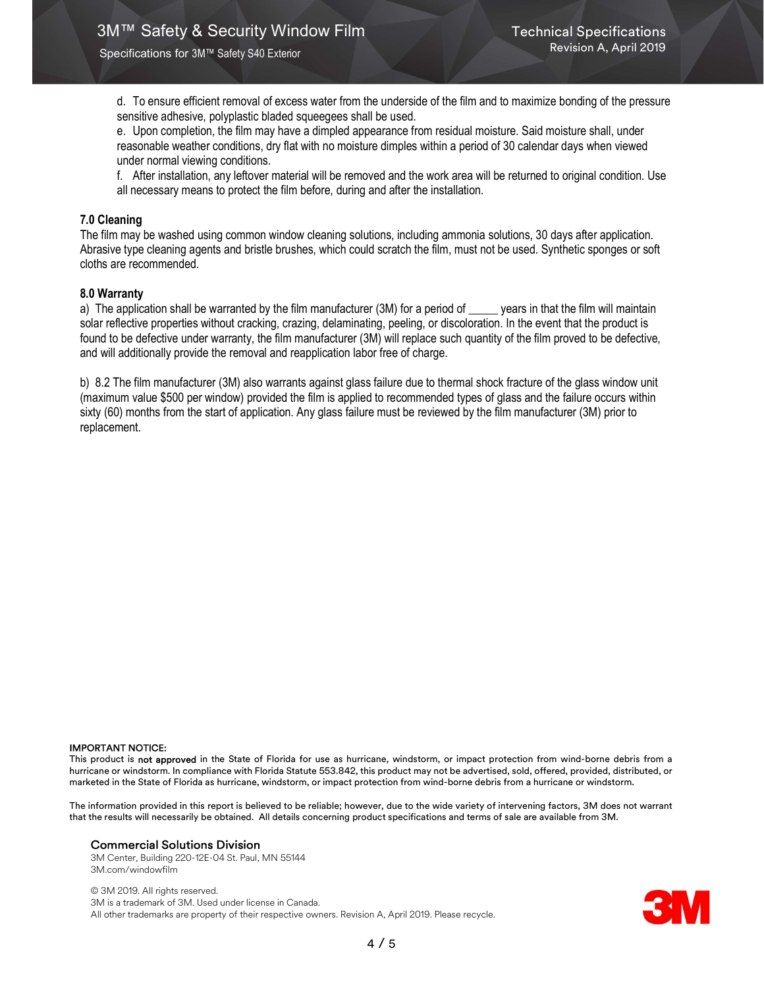d. To ensure efficient removal of excess water from the underside of the film and to maximize bonding of the pressure sensitive adhesive, polyplastic bladed squeegees shall be used.

e. Upon completion, the film may have a dimpled appearance from residual moisture. Said moisture shall, under reasonable weather conditions, dry flat with no moisture dimples within a period of 30 calendar days when viewed under normal viewing conditions.

f. After installation, any leftover material will be removed and the work area will be returned to original condition. Use all necessary means to protect the film before, during and after the installation.

## 7.0 Cleaning

The film may be washed using common window cleaning solutions, including ammonia solutions, 30 days after application. Abrasive type cleaning agents and bristle brushes, which could scratch the film, must not be used. Synthetic sponges or soft cloths are recommended.

## 8.0 Warranty

a) The application shall be warranted by the film manufacturer (3M) for a period of \_\_\_\_\_ years in that the film will maintain solar reflective properties without cracking, crazing, delaminating, peeling, or discoloration. In the event that the product is found to be defective under warranty, the film manufacturer (3M) will replace such quantity of the film proved to be defective, and will additionally provide the removal and reapplication labor free of charge.

b) 8.2 The film manufacturer (3M) also warrants against glass failure due to thermal shock fracture of the glass window unit (maximum value \$500 per window) provided the film is applied to recommended types of glass and the failure occurs within sixty (60) months from the start of application. Any glass failure must be reviewed by the film manufacturer (3M) prior to replacement.

#### IMPORTANT NOTICE:

This product is not approved in the State of Florida for use as hurricane, windstorm, or impact protection from wind-borne debris from a hurricane or windstorm. In compliance with Florida Statute 553.842, this product may not be advertised, sold, offered, provided, distributed, or marketed in the State of Florida as hurricane, windstorm, or impact protection from wind-borne debris from a hurricane or windstorm.

The information provided in this report is believed to be reliable; however, due to the wide variety of intervening factors, 3M does not warrant that the results will necessarily be obtained. All details concerning product specifications and terms of sale are available from 3M.

#### Commercial Solutions Division

3M Center, Building 220-12E-04 St. Paul, MN 55144 3M.com/windowfilm